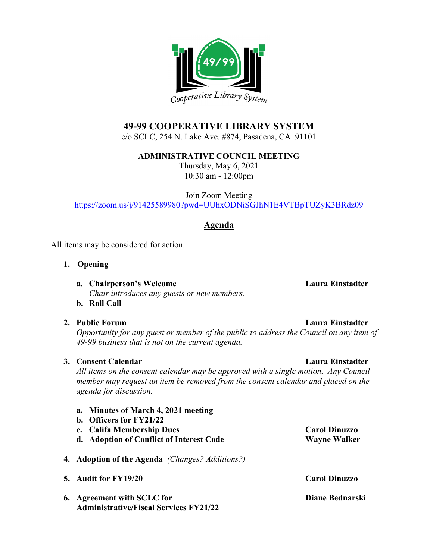

# **49-99 COOPERATIVE LIBRARY SYSTEM**

c/o SCLC, 254 N. Lake Ave. #874, Pasadena, CA 91101

**ADMINISTRATIVE COUNCIL MEETING**

Thursday, May 6, 2021 10:30 am - 12:00pm

Join Zoom Meeting <https://zoom.us/j/91425589980?pwd=UUhxODNiSGJhN1E4VTBpTUZyK3BRdz09>

## **Agenda**

All items may be considered for action.

- **1. Opening**
	- **a. Chairperson's Welcome Laura Einstadter** *Chair introduces any guests or new members.*
	- **b. Roll Call**
- 

*Opportunity for any guest or member of the public to address the Council on any item of 49-99 business that is not on the current agenda.*

### **3. Consent Calendar Laura Einstadter**

*All items on the consent calendar may be approved with a single motion. Any Council member may request an item be removed from the consent calendar and placed on the agenda for discussion.*

**a. Minutes of March 4, 2021 meeting b. Officers for FY21/22 c. Califa Membership Dues Carol Dinuzzo d. Adoption of Conflict of Interest Code Wayne Walker 4. Adoption of the Agenda** *(Changes? Additions?)* **5. Audit for FY19/20 Carol Dinuzzo 6. Agreement with SCLC for** Diane Bednarski **Administrative/Fiscal Services FY21/22**

#### **2. Public Forum Laura Einstadter**